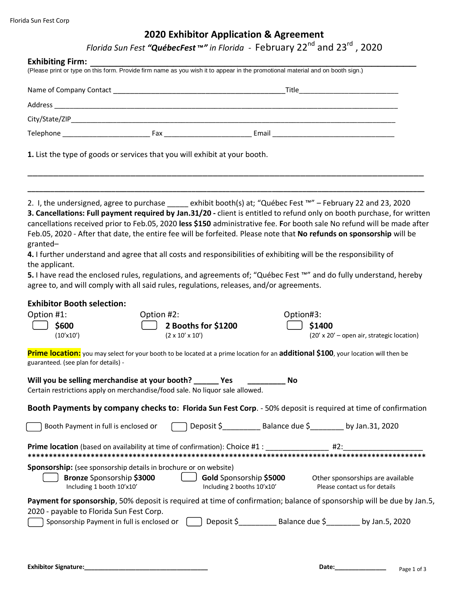## **2020 Exhibitor Application & Agreement**

*Florida Sun Fest "QuébecFest* **™***" in Florida -* February 22nd and 23rd , 2020

|  | Telephone example and Fax example and Email Email Email Email Email Email Email Email Email Email Email Email Email Email Email Email Email Email Email Email Email Email Email Email Email Email Email Email Email Email Emai |  |
|--|--------------------------------------------------------------------------------------------------------------------------------------------------------------------------------------------------------------------------------|--|

\_\_\_\_\_\_\_\_\_\_\_\_\_\_\_\_\_\_\_\_\_\_\_\_\_\_\_\_\_\_\_\_\_\_\_\_\_\_\_\_\_\_\_\_\_\_\_\_\_\_\_\_\_\_\_\_\_\_\_\_\_\_\_\_\_\_\_\_\_\_\_\_\_\_\_\_\_

**\_\_\_\_\_\_\_\_\_\_\_\_\_\_\_\_\_\_\_\_\_\_\_\_\_\_\_\_\_\_\_\_\_\_\_\_\_\_\_\_\_\_\_\_\_\_\_\_\_\_\_\_\_\_\_\_\_\_\_\_\_\_\_\_\_\_\_\_\_\_\_\_\_\_\_\_\_\_\_\_\_\_\_\_\_\_\_\_\_\_\_\_\_\_\_\_\_\_\_\_\_\_\_\_**

2. I, the undersigned, agree to purchase \_\_\_\_\_ exhibit booth(s) at; "Québec Fest ™" – February 22 and 23, 2020 **3. Cancellations: Full payment required by Jan.31/20 -** client is entitled to refund only on booth purchase, for written cancellations received prior to Feb.05, 2020 **less \$150** administrative fee. **F**or booth sale No refund will be made after Feb.05, 2020 - After that date, the entire fee will be forfeited. Please note that **No refunds on sponsorship** will be granted–

**4.** I further understand and agree that all costs and responsibilities of exhibiting will be the responsibility of the applicant.

**5.** I have read the enclosed rules, regulations, and agreements of; "Québec Fest ™" and do fully understand, hereby agree to, and will comply with all said rules, regulations, releases, and/or agreements.

### **Exhibitor Booth selection:**

| Option #1: | Option #2:                  | Option#3:                                         |  |
|------------|-----------------------------|---------------------------------------------------|--|
| \$600      | $\Box$ 2 Booths for \$1200  | $\bigcup$ \$1400                                  |  |
| (10'x10')  | $(2 \times 10' \times 10')$ | $(20' \times 20' -$ open air, strategic location) |  |
|            |                             |                                                   |  |

**Prime location:** you may select for your booth to be located at a prime location for an **additional \$100**, your location will then be guaranteed. (see plan for details) -

| Will you be selling merchandise at your booth? Nes<br>Certain restrictions apply on merchandise/food sale. No liquor sale allowed.                                                                               |                                                       | - No |                                                                   |  |  |  |  |
|------------------------------------------------------------------------------------------------------------------------------------------------------------------------------------------------------------------|-------------------------------------------------------|------|-------------------------------------------------------------------|--|--|--|--|
| Booth Payments by company checks to: Florida Sun Fest Corp. - 50% deposit is required at time of confirmation                                                                                                    |                                                       |      |                                                                   |  |  |  |  |
| Booth Payment in full is enclosed or                                                                                                                                                                             |                                                       |      | Deposit $\sin \theta$ Balance due $\sin \theta$ by Jan. 31, 2020  |  |  |  |  |
|                                                                                                                                                                                                                  |                                                       |      |                                                                   |  |  |  |  |
| <b>Sponsorship:</b> (see sponsorship details in brochure or on website)<br><b>Bronze</b> Sponsorship \$3000<br>Including 1 booth 10'x10'                                                                         | Gold Sponsorship \$5000<br>Including 2 booths 10'x10' |      | Other sponsorships are available<br>Please contact us for details |  |  |  |  |
| Payment for sponsorship, 50% deposit is required at time of confirmation; balance of sponsorship will be due by Jan.5,<br>2020 - payable to Florida Sun Fest Corp.<br>Sponsorship Payment in full is enclosed or |                                                       |      | Deposit \$ Balance due \$ by Jan.5, 2020                          |  |  |  |  |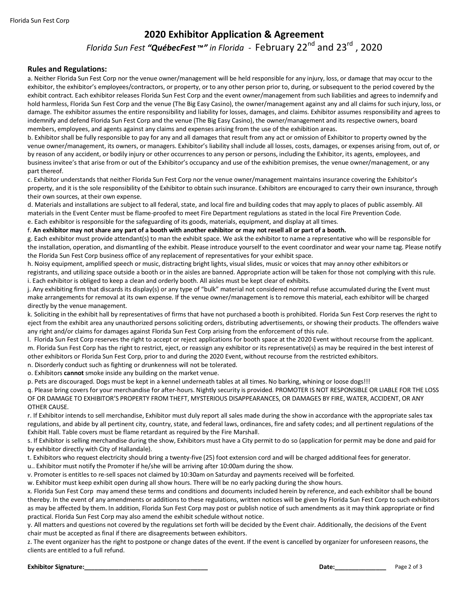# **2020 Exhibitor Application & Agreement**

# *Florida Sun Fest "QuébecFest* **™***" in Florida -* February 22nd and 23rd , 2020

#### **Rules and Regulations:**

a. Neither Florida Sun Fest Corp nor the venue owner/management will be held responsible for any injury, loss, or damage that may occur to the exhibitor, the exhibitor's employees/contractors, or property, or to any other person prior to, during, or subsequent to the period covered by the exhibit contract. Each exhibitor releases Florida Sun Fest Corp and the event owner/management from such liabilities and agrees to indemnify and hold harmless, Florida Sun Fest Corp and the venue (The Big Easy Casino), the owner/management against any and all claims for such injury, loss, or damage. The exhibitor assumes the entire responsibility and liability for losses, damages, and claims. Exhibitor assumes responsibility and agrees to indemnify and defend Florida Sun Fest Corp and the venue (The Big Easy Casino), the owner/management and its respective owners, board members, employees, and agents against any claims and expenses arising from the use of the exhibition areas.

b. Exhibitor shall be fully responsible to pay for any and all damages that result from any act or omission of Exhibitor to property owned by the venue owner/management, its owners, or managers. Exhibitor's liability shall include all losses, costs, damages, or expenses arising from, out of, or by reason of any accident, or bodily injury or other occurrences to any person or persons, including the Exhibitor, its agents, employees, and business invitee's that arise from or out of the Exhibitor's occupancy and use of the exhibition premises, the venue owner/management, or any part thereof.

c. Exhibitor understands that neither Florida Sun Fest Corp nor the venue owner/management maintains insurance covering the Exhibitor's property, and it is the sole responsibility of the Exhibitor to obtain such insurance. Exhibitors are encouraged to carry their own insurance, through their own sources, at their own expense.

d. Materials and installations are subject to all federal, state, and local fire and building codes that may apply to places of public assembly. All materials in the Event Center must be flame-proofed to meet Fire Department regulations as stated in the local Fire Prevention Code. e. Each exhibitor is responsible for the safeguarding of its goods, materials, equipment, and display at all times.

f. **An exhibitor may not share any part of a booth with another exhibitor or may not resell all or part of a booth.**

g. Each exhibitor must provide attendant(s) to man the exhibit space. We ask the exhibitor to name a representative who will be responsible for the installation, operation, and dismantling of the exhibit. Please introduce yourself to the event coordinator and wear your name tag. Please notify the Florida Sun Fest Corp business office of any replacement of representatives for your exhibit space.

h. Noisy equipment, amplified speech or music, distracting bright lights, visual slides, music or voices that may annoy other exhibitors or registrants, and utilizing space outside a booth or in the aisles are banned. Appropriate action will be taken for those not complying with this rule. i. Each exhibitor is obliged to keep a clean and orderly booth. All aisles must be kept clear of exhibits.

j. Any exhibiting firm that discards its display(s) or any type of "bulk" material not considered normal refuse accumulated during the Event must make arrangements for removal at its own expense. If the venue owner/management is to remove this material, each exhibitor will be charged directly by the venue management.

k. Soliciting in the exhibit hall by representatives of firms that have not purchased a booth is prohibited. Florida Sun Fest Corp reserves the right to eject from the exhibit area any unauthorized persons soliciting orders, distributing advertisements, or showing their products. The offenders waive any right and/or claims for damages against Florida Sun Fest Corp arising from the enforcement of this rule.

l. Florida Sun Fest Corp reserves the right to accept or reject applications for booth space at the 2020 Event without recourse from the applicant. m. Florida Sun Fest Corp has the right to restrict, eject, or reassign any exhibitor or its representative(s) as may be required in the best interest of other exhibitors or Florida Sun Fest Corp, prior to and during the 2020 Event, without recourse from the restricted exhibitors.

n. Disorderly conduct such as fighting or drunkenness will not be tolerated.

o. Exhibitors **cannot** smoke inside any building on the market venue.

p. Pets are discouraged. Dogs must be kept in a kennel underneath tables at all times. No barking, whining or loose dogs!!!

q. Please bring covers for your merchandise for after-hours. Nightly security is provided. PROMOTER IS NOT RESPONSIBLE OR LIABLE FOR THE LOSS OF OR DAMAGE TO EXHIBITOR'S PROPERTY FROM THEFT, MYSTERIOUS DISAPPEARANCES, OR DAMAGES BY FIRE, WATER, ACCIDENT, OR ANY OTHER CAUSE.

r. If Exhibitor intends to sell merchandise, Exhibitor must duly report all sales made during the show in accordance with the appropriate sales tax regulations, and abide by all pertinent city, country, state, and federal laws, ordinances, fire and safety codes; and all pertinent regulations of the Exhibit Hall. Table covers must be flame retardant as required by the Fire Marshall.

s. If Exhibitor is selling merchandise during the show, Exhibitors must have a City permit to do so (application for permit may be done and paid for by exhibitor directly with City of Hallandale).

t. Exhibitors who request electricity should bring a twenty-five (25) foot extension cord and will be charged additional fees for generator.

u.. Exhibitor must notify the Promoter if he/she will be arriving after 10:00am during the show.

v. Promoter is entitles to re-sell spaces not claimed by 10:30am on Saturday and payments received will be forfeited.

w. Exhibitor must keep exhibit open during all show hours. There will be no early packing during the show hours.

x. Florida Sun Fest Corp may amend these terms and conditions and documents included herein by reference, and each exhibitor shall be bound thereby. In the event of any amendments or additions to these regulations, written notices will be given by Florida Sun Fest Corp to such exhibitors as may be affected by them. In addition, Florida Sun Fest Corp may post or publish notice of such amendments as it may think appropriate or find practical. Florida Sun Fest Corp may also amend the exhibit schedule without notice.

y. All matters and questions not covered by the regulations set forth will be decided by the Event chair. Additionally, the decisions of the Event chair must be accepted as final if there are disagreements between exhibitors.

z. The event organizer has the right to postpone or change dates of the event. If the event is cancelled by organizer for unforeseen reasons, the clients are entitled to a full refund.